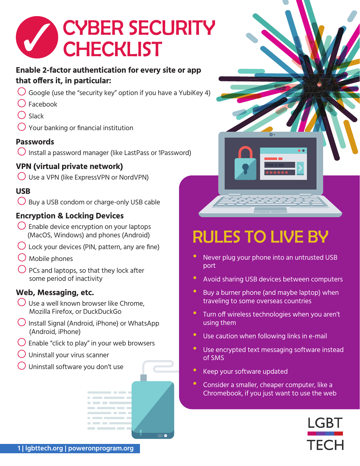

#### **Enable 2-factor authentication for every site or app that offers it, in particular:**

- $\bigcirc$  Google (use the "security key" option if you have a YubiKey 4)
- l Facebook
- $\bigcirc$  Slack
- $\bigcirc$  Your banking or financial institution

#### **Passwords**

 $\bigcirc$  Install a password manager (like LastPass or 1Password)

#### **VPN (virtual private network)**

 $\bigcirc$  Use a VPN (like ExpressVPN or NordVPN)

#### **USB**

 $\bigcirc$  Buy a USB condom or charge-only USB cable

#### **Encryption & Locking Devices**

- $\bigcirc$  Enable device encryption on your laptops (MacOS, Windows) and phones (Android)
- $\bigcirc$  Lock your devices (PIN, pattern, any are fine)
- $\bigcirc$  Mobile phones
- $\bigcirc$  PCs and laptops, so that they lock after some period of inactivity

#### **Web, Messaging, etc.**

- $\bigcup$  Use a well known browser like Chrome, Mozilla Firefox, or DuckDuckGo
- $\bigcup$  Install Signal (Android, iPhone) or WhatsApp (Android, iPhone)
- $\bigcup$  Enable "click to play" in your web browsers

. . . .

- l Uninstall your virus scanner
- l Uninstall software you don't use



# RULES TO LIVE BY

- Never plug your phone into an untrusted USB port
- Avoid sharing USB devices between computers
- Buy a burner phone (and maybe laptop) when traveling to some overseas countries
- Turn off wireless technologies when you aren't using them
- Use caution when following links in e-mail
- Use encrypted text messaging software instead of SMS
- **Keep your software updated**
- Consider a smaller, cheaper computer, like a Chromebook, if you just want to use the web

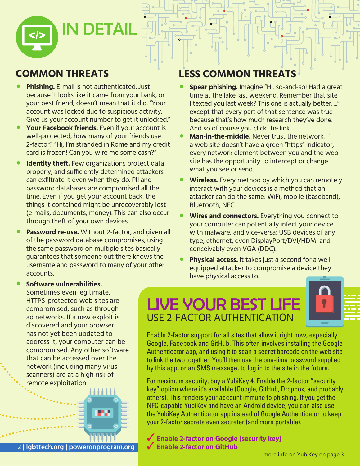

## **COMMON THREATS**

- **Phishing.** E-mail is not authenticated. Just because it looks like it came from your bank, or your best friend, doesn't mean that it did. "Your account was locked due to suspicious activity. Give us your account number to get it unlocked."
- Your Facebook friends. Even if your account is well-protected, how many of your friends use 2-factor? "Hi, I'm stranded in Rome and my credit card is frozen! Can you wire me some cash?"
- **Identity theft.** Few organizations protect data properly, and sufficiently determined attackers can exfiltrate it even when they do. PII and password databases are compromised all the time. Even if you get your account back, the things it contained might be unrecoverably lost (e-mails, documents, money). This can also occur through theft of your own devices.
- **Password re-use.** Without 2-factor, and given all of the password database compromises, using the same password on multiple sites basically guarantees that someone out there knows the username and password to many of your other accounts.

## **LESS COMMON THREATS**

- **Spear phishing.** Imagine "Hi, so-and-so! Had a great time at the lake last weekend. Remember that site I texted you last week? This one is actually better: ..." except that every part of that sentence was true because that's how much research they've done. And so of course you click the link.
- **Man-in-the-middle.** Never trust the network. If a web site doesn't have a green "https" indicator, every network element between you and the web site has the opportunity to intercept or change what you see or send.
- **Wireless.** Every method by which you can remotely interact with your devices is a method that an attacker can do the same: WiFi, mobile (baseband), Bluetooth, NFC
- **Wires and connectors.** Everything you connect to your computer can potentially infect your device with malware, and vice-versa: USB devices of any type, ethernet, even DisplayPort/DVI/HDMI and conceivably even VGA (DDC).
- **Physical access.** It takes just a second for a wellequipped attacker to compromise a device they have physical access to.

## LIVE YOUR BEST LIFE USE 2-FACTOR AUTHENTICATION



Sometimes even legitimate, HTTPS-protected web sites are compromised, such as through ad networks. If a new exploit is discovered and your browser has not yet been updated to address it, your computer can be compromised. Any other software that can be accessed over the network (including many virus scanners) are at a high risk of remote exploitation.

• **Software vulnerabilities.**



Enable 2-factor support for all sites that allow it right now, especially Google, Facebook and GitHub. This often involves installing the Google Authenticator app, and using it to scan a secret barcode on the web site to link the two together. You'll then use the one-time password supplied by this app, or an SMS message, to log in to the site in the future.

For maximum security, buy a YubiKey 4. Enable the 2-factor "security key" option where it's available (Google, GitHub, Dropbox, and probably others). This renders your account immune to phishing. If you get the NFC-capable YubiKey and have an Android device, you can also use the YubiKey Authenticator app instead of Google Authenticator to keep your 2-factor secrets even secreter (and more portable).

**[Enable 2-factor on Google \(security key\)](https://support.google.com/accounts/answer/185839)** 3 **[Enable 2-factor on GitHub](https://docs.github.com/en/github/authenticating-to-github/securing-your-account-with-two-factor-authentication-2fa)**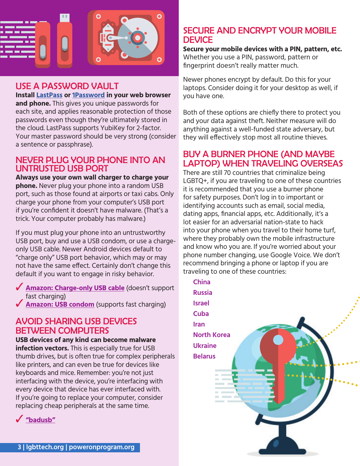

#### USE A PASSWORD VAULT

**Install [LastPass](https://www.lastpass.com/) or [1Password](https://1password.com/) in your web browser and phone.** This gives you unique passwords for each site, and applies reasonable protection of those passwords even though they're ultimately stored in the cloud. LastPass supports YubiKey for 2-factor. Your master password should be very strong (consider a sentence or passphrase).

#### NEVER PLUG YOUR PHONE INTO AN UNTRUSTED USB PORT

**Always use your own wall charger to charge your phone.** Never plug your phone into a random USB port, such as those found at airports or taxi cabs. Only charge your phone from your computer's USB port if you're confident it doesn't have malware. (That's a trick. Your computer probably has malware.)

If you must plug your phone into an untrustworthy USB port, buy and use a USB condom, or use a chargeonly USB cable. Newer Android devices default to "charge only" USB port behavior, which may or may not have the same effect. Certainly don't change this default if you want to engage in risky behavior.

- ◆ **[Amazon: Charge-only USB cable](https://www.amazon.com/gp/product/B00RQ5AZ6Q)** (doesn't support fast charging)
- **Solution: USB condom** (supports fast charging)

#### AVOID SHARING USB DEVICES BETWEEN COMPUTERS

**USB devices of any kind can become malware infection vectors.** This is especially true for USB thumb drives, but is often true for complex peripherals like printers, and can even be true for devices like keyboards and mice. Remember: you're not just interfacing with the device, you're interfacing with every device that device has ever interfaced with. If you're going to replace your computer, consider replacing cheap peripherals at the same time.

3 **["badusb"](https://www.amazon.com/Aideepen-ATMEGA32U4-Development-virtual-keyboard/dp/B01N1UAYR5)**

#### SECURE AND ENCRYPT YOUR MOBILE **DEVICE**

**Secure your mobile devices with a PIN, pattern, etc.**  Whether you use a PIN, password, pattern or fingerprint doesn't really matter much.

Newer phones encrypt by default. Do this for your laptops. Consider doing it for your desktop as well, if you have one.

Both of these options are chiefly there to protect you and your data against theft. Neither measure will do anything against a well-funded state adversary, but they will effectively stop most all routine thieves.

#### BUY A BURNER PHONE (AND MAYBE LAPTOP) WHEN TRAVELING OVERSEAS

There are still 70 countries that criminalize being LGBTQ+, if you are traveling to one of these countries it is recommended that you use a burner phone for safety purposes. Don't log in to important or identifying accounts such as email, social media, dating apps, financial apps, etc. Additionally, it's a lot easier for an adversarial nation-state to hack into your phone when you travel to their home turf, where they probably own the mobile infrastructure and know who you are. If you're worried about your phone number changing, use Google Voice. We don't recommend bringing a phone or laptop if you are traveling to one of these countries: